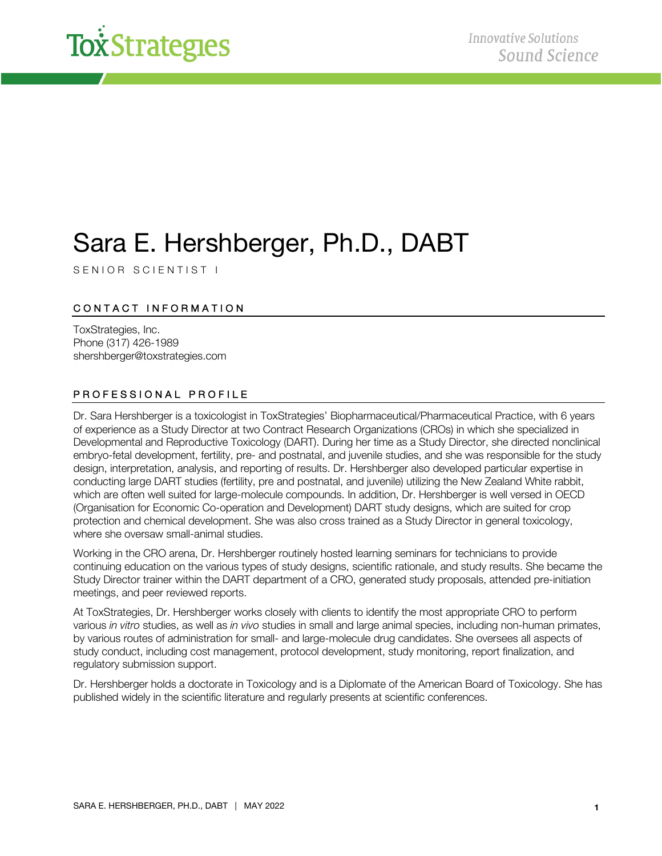

# Sara E. Hershberger, Ph.D., DABT

SENIOR SCIENTIST I

# CONTACT INFORMATION

ToxStrategies, Inc. Phone (317) 426-1989 shershberger@toxstrategies.com

## PROFESSIONAL PROFILE

Dr. Sara Hershberger is a toxicologist in ToxStrategies' Biopharmaceutical/Pharmaceutical Practice, with 6 years of experience as a Study Director at two Contract Research Organizations (CROs) in which she specialized in Developmental and Reproductive Toxicology (DART). During her time as a Study Director, she directed nonclinical embryo-fetal development, fertility, pre- and postnatal, and juvenile studies, and she was responsible for the study design, interpretation, analysis, and reporting of results. Dr. Hershberger also developed particular expertise in conducting large DART studies (fertility, pre and postnatal, and juvenile) utilizing the New Zealand White rabbit, which are often well suited for large-molecule compounds. In addition, Dr. Hershberger is well versed in OECD (Organisation for Economic Co-operation and Development) DART study designs, which are suited for crop protection and chemical development. She was also cross trained as a Study Director in general toxicology, where she oversaw small-animal studies.

Working in the CRO arena, Dr. Hershberger routinely hosted learning seminars for technicians to provide continuing education on the various types of study designs, scientific rationale, and study results. She became the Study Director trainer within the DART department of a CRO, generated study proposals, attended pre-initiation meetings, and peer reviewed reports.

At ToxStrategies, Dr. Hershberger works closely with clients to identify the most appropriate CRO to perform various *in vitro* studies, as well as *in vivo* studies in small and large animal species, including non-human primates, by various routes of administration for small- and large-molecule drug candidates. She oversees all aspects of study conduct, including cost management, protocol development, study monitoring, report finalization, and regulatory submission support.

Dr. Hershberger holds a doctorate in Toxicology and is a Diplomate of the American Board of Toxicology. She has published widely in the scientific literature and regularly presents at scientific conferences.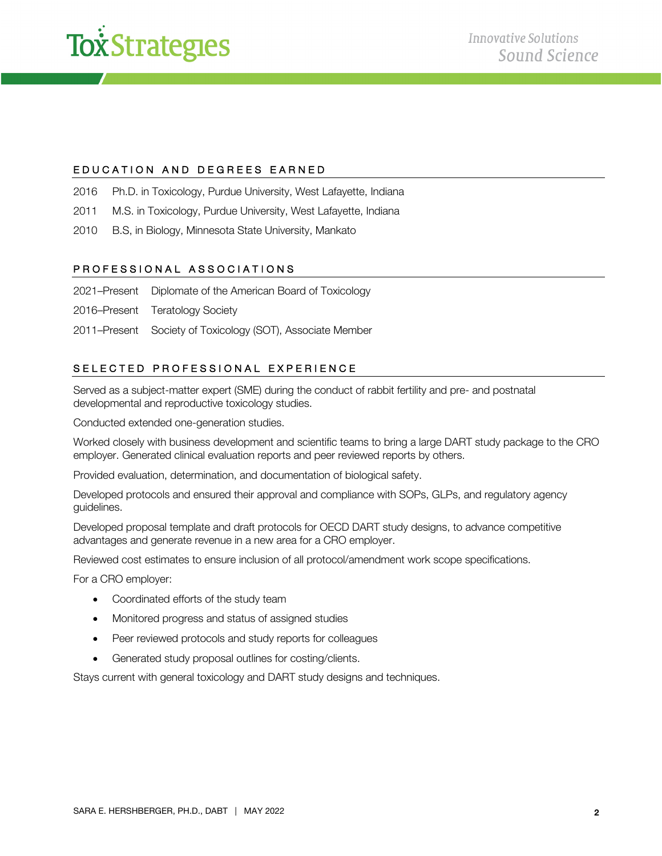

#### EDUCATION AND DEGREES EARNED

- 2016 Ph.D. in Toxicology, Purdue University, West Lafayette, Indiana
- 2011 M.S. in Toxicology, Purdue University, West Lafayette, Indiana
- 2010 B.S, in Biology, Minnesota State University, Mankato

#### PROFESSIONAL ASSOCIATIONS

- 2021–Present Diplomate of the American Board of Toxicology
- 2016–Present Teratology Society
- 2011–Present Society of Toxicology (SOT), Associate Member

## SELECTED PROFESSIONAL EXPERIENCE

Served as a subject-matter expert (SME) during the conduct of rabbit fertility and pre- and postnatal developmental and reproductive toxicology studies.

Conducted extended one-generation studies.

Worked closely with business development and scientific teams to bring a large DART study package to the CRO employer. Generated clinical evaluation reports and peer reviewed reports by others.

Provided evaluation, determination, and documentation of biological safety.

Developed protocols and ensured their approval and compliance with SOPs, GLPs, and regulatory agency guidelines.

Developed proposal template and draft protocols for OECD DART study designs, to advance competitive advantages and generate revenue in a new area for a CRO employer.

Reviewed cost estimates to ensure inclusion of all protocol/amendment work scope specifications.

For a CRO employer:

- Coordinated efforts of the study team
- Monitored progress and status of assigned studies
- Peer reviewed protocols and study reports for colleagues
- Generated study proposal outlines for costing/clients.

Stays current with general toxicology and DART study designs and techniques.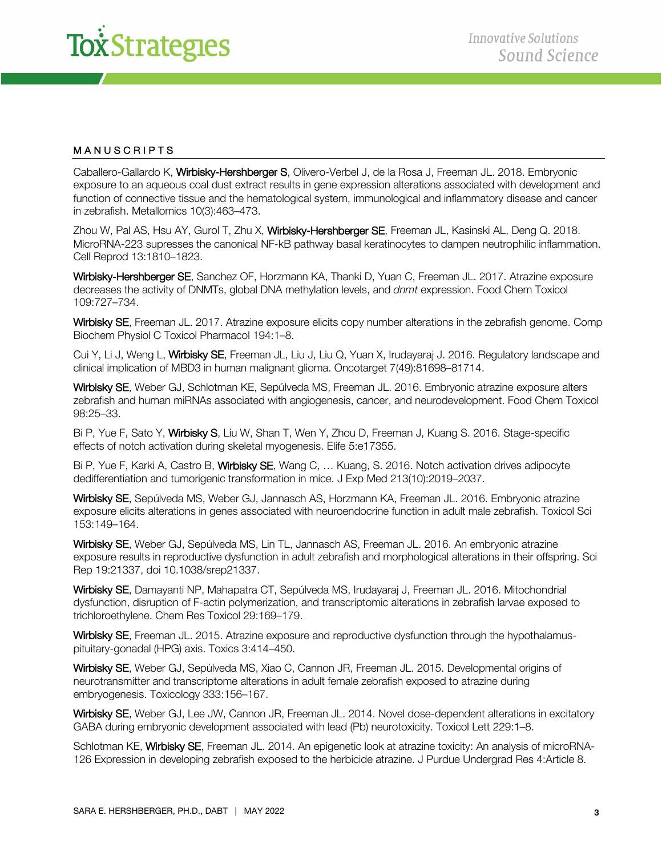

#### MANUSCRIPTS

Caballero-Gallardo K, Wirbisky-Hershberger S, Olivero-Verbel J, de la Rosa J, Freeman JL. 2018. Embryonic exposure to an aqueous coal dust extract results in gene expression alterations associated with development and function of connective tissue and the hematological system, immunological and inflammatory disease and cancer in zebrafish. Metallomics 10(3):463–473.

Zhou W, Pal AS, Hsu AY, Gurol T, Zhu X, Wirbisky-Hershberger SE, Freeman JL, Kasinski AL, Deng Q. 2018. MicroRNA-223 supresses the canonical NF-kB pathway basal keratinocytes to dampen neutrophilic inflammation. Cell Reprod 13:1810–1823.

Wirbisky-Hershberger SE, Sanchez OF, Horzmann KA, Thanki D, Yuan C, Freeman JL. 2017. Atrazine exposure decreases the activity of DNMTs, global DNA methylation levels, and *dnmt* expression. Food Chem Toxicol 109:727–734.

Wirbisky SE, Freeman JL. 2017. Atrazine exposure elicits copy number alterations in the zebrafish genome. Comp Biochem Physiol C Toxicol Pharmacol 194:1–8.

Cui Y, Li J, Weng L, Wirbisky SE, Freeman JL, Liu J, Liu Q, Yuan X, Irudayaraj J. 2016. Regulatory landscape and clinical implication of MBD3 in human malignant glioma. Oncotarget 7(49):81698–81714.

Wirbisky SE, Weber GJ, Schlotman KE, Sepúlveda MS, Freeman JL. 2016. Embryonic atrazine exposure alters zebrafish and human miRNAs associated with angiogenesis, cancer, and neurodevelopment. Food Chem Toxicol 98:25–33.

Bi P, Yue F, Sato Y, Wirbisky S, Liu W, Shan T, Wen Y, Zhou D, Freeman J, Kuang S. 2016. Stage-specific effects of notch activation during skeletal myogenesis. Elife 5:e17355.

Bi P, Yue F, Karki A, Castro B, Wirbisky SE, Wang C, ... Kuang, S. 2016. Notch activation drives adipocyte dedifferentiation and tumorigenic transformation in mice. J Exp Med 213(10):2019–2037.

Wirbisky SE, Sepúlveda MS, Weber GJ, Jannasch AS, Horzmann KA, Freeman JL. 2016. Embryonic atrazine exposure elicits alterations in genes associated with neuroendocrine function in adult male zebrafish. Toxicol Sci 153:149–164.

Wirbisky SE, Weber GJ, Sepúlveda MS, Lin TL, Jannasch AS, Freeman JL. 2016. An embryonic atrazine exposure results in reproductive dysfunction in adult zebrafish and morphological alterations in their offspring. Sci Rep 19:21337, doi 10.1038/srep21337.

Wirbisky SE, Damayanti NP, Mahapatra CT, Sepúlveda MS, Irudayaraj J, Freeman JL. 2016. Mitochondrial dysfunction, disruption of F-actin polymerization, and transcriptomic alterations in zebrafish larvae exposed to trichloroethylene. Chem Res Toxicol 29:169–179.

Wirbisky SE, Freeman JL. 2015. Atrazine exposure and reproductive dysfunction through the hypothalamuspituitary-gonadal (HPG) axis. Toxics 3:414–450.

Wirbisky SE, Weber GJ, Sepúlveda MS, Xiao C, Cannon JR, Freeman JL. 2015. Developmental origins of neurotransmitter and transcriptome alterations in adult female zebrafish exposed to atrazine during embryogenesis. Toxicology 333:156–167.

Wirbisky SE, Weber GJ, Lee JW, Cannon JR, Freeman JL. 2014. Novel dose-dependent alterations in excitatory GABA during embryonic development associated with lead (Pb) neurotoxicity. Toxicol Lett 229:1–8.

Schlotman KE, Wirbisky SE, Freeman JL. 2014. An epigenetic look at atrazine toxicity: An analysis of microRNA-126 Expression in developing zebrafish exposed to the herbicide atrazine. J Purdue Undergrad Res 4:Article 8.